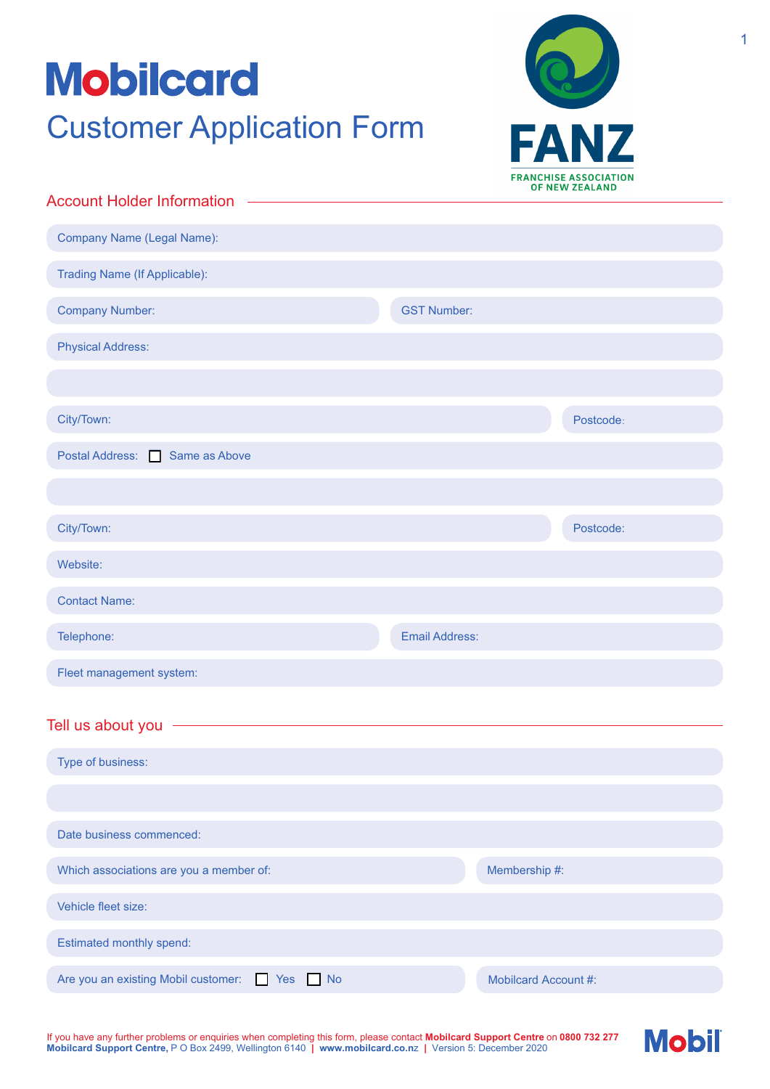# **Mobilcard** Customer Application Form



| <b>Account Holder Information</b>                     |                       |                      |           |  |
|-------------------------------------------------------|-----------------------|----------------------|-----------|--|
| Company Name (Legal Name):                            |                       |                      |           |  |
|                                                       |                       |                      |           |  |
| <b>Trading Name (If Applicable):</b>                  |                       |                      |           |  |
| <b>Company Number:</b>                                | <b>GST Number:</b>    |                      |           |  |
| <b>Physical Address:</b>                              |                       |                      |           |  |
|                                                       |                       |                      |           |  |
| City/Town:                                            |                       |                      | Postcode: |  |
| Postal Address: Same as Above                         |                       |                      |           |  |
|                                                       |                       |                      |           |  |
| City/Town:                                            |                       |                      | Postcode: |  |
| Website:                                              |                       |                      |           |  |
| <b>Contact Name:</b>                                  |                       |                      |           |  |
| Telephone:                                            | <b>Email Address:</b> |                      |           |  |
| Fleet management system:                              |                       |                      |           |  |
|                                                       |                       |                      |           |  |
| Tell us about you -                                   |                       |                      |           |  |
| Type of business:                                     |                       |                      |           |  |
|                                                       |                       |                      |           |  |
| Date business commenced:                              |                       |                      |           |  |
| Which associations are you a member of:               |                       | Membership #:        |           |  |
| Vehicle fleet size:                                   |                       |                      |           |  |
| Estimated monthly spend:                              |                       |                      |           |  |
| Are you an existing Mobil customer:<br>Yes No<br>n an |                       | Mobilcard Account #: |           |  |

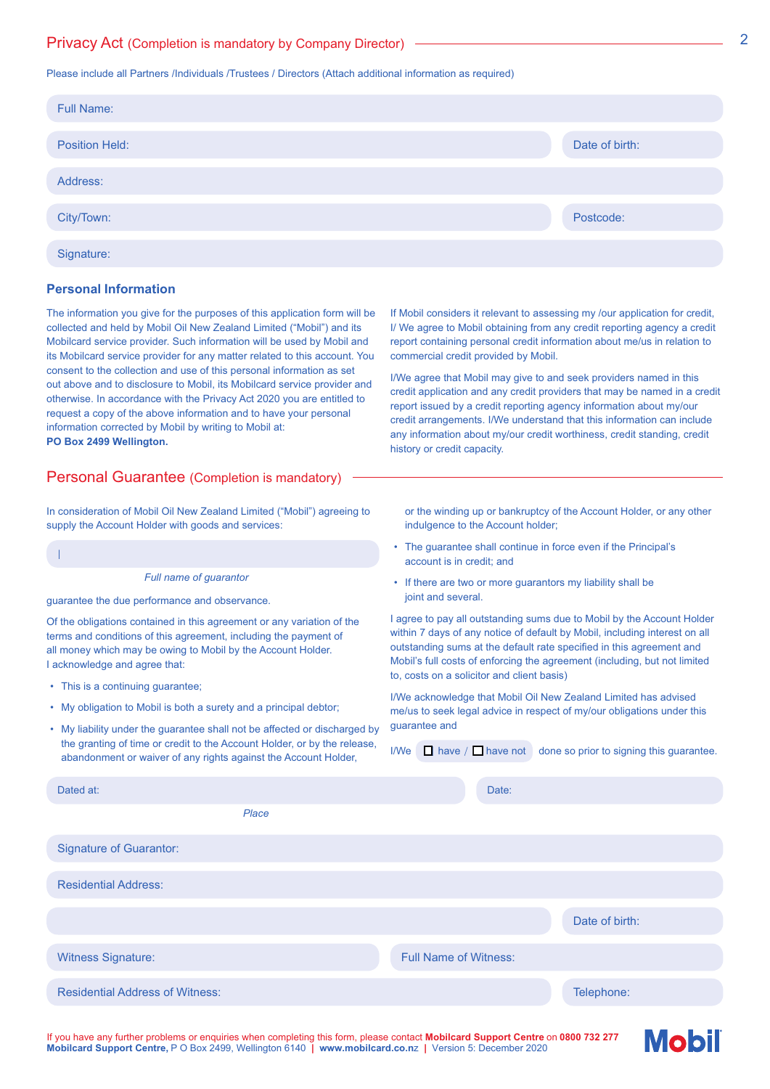## Privacy Act (Completion is mandatory by Company Director)

#### Please include all Partners /Individuals /Trustees / Directors (Attach additional information as required)

| <b>Full Name:</b>     |                |
|-----------------------|----------------|
| <b>Position Held:</b> | Date of birth: |
| Address:              |                |
| City/Town:            | Postcode:      |
| Signature:            |                |

## **Personal Information**

The information you give for the purposes of this application form will be collected and held by Mobil Oil New Zealand Limited ("Mobil") and its Mobilcard service provider. Such information will be used by Mobil and its Mobilcard service provider for any matter related to this account. You consent to the collection and use of this personal information as set out above and to disclosure to Mobil, its Mobilcard service provider and otherwise. In accordance with the Privacy Act 2020 you are entitled to request a copy of the above information and to have your personal information corrected by Mobil by writing to Mobil at: **PO Box 2499 Wellington.**

## Personal Guarantee (Completion is mandatory)

In consideration of Mobil Oil New Zealand Limited ("Mobil") agreeing to supply the Account Holder with goods and services:

*Full name of guarantor*

guarantee the due performance and observance.

Of the obligations contained in this agreement or any variation of the terms and conditions of this agreement, including the payment of all money which may be owing to Mobil by the Account Holder. I acknowledge and agree that:

• This is a continuing guarantee;

I

- My obligation to Mobil is both a surety and a principal debtor;
- My liability under the guarantee shall not be affected or discharged by the granting of time or credit to the Account Holder, or by the release, abandonment or waiver of any rights against the Account Holder,

If Mobil considers it relevant to assessing my /our application for credit, I/ We agree to Mobil obtaining from any credit reporting agency a credit report containing personal credit information about me/us in relation to commercial credit provided by Mobil.

I/We agree that Mobil may give to and seek providers named in this credit application and any credit providers that may be named in a credit report issued by a credit reporting agency information about my/our credit arrangements. I/We understand that this information can include any information about my/our credit worthiness, credit standing, credit history or credit capacity.

or the winding up or bankruptcy of the Account Holder, or any other indulgence to the Account holder;

- The guarantee shall continue in force even if the Principal's account is in credit; and
- If there are two or more guarantors my liability shall be joint and several.

I agree to pay all outstanding sums due to Mobil by the Account Holder within 7 days of any notice of default by Mobil, including interest on all outstanding sums at the default rate specified in this agreement and Mobil's full costs of enforcing the agreement (including, but not limited to, costs on a solicitor and client basis)

I/We acknowledge that Mobil Oil New Zealand Limited has advised me/us to seek legal advice in respect of my/our obligations under this guarantee and

I/We  $\Box$  have /  $\Box$  have not done so prior to signing this guarantee.

| Dated at:                              |       | Date:                        |                |
|----------------------------------------|-------|------------------------------|----------------|
|                                        | Place |                              |                |
| <b>Signature of Guarantor:</b>         |       |                              |                |
| <b>Residential Address:</b>            |       |                              |                |
|                                        |       |                              | Date of birth: |
| <b>Witness Signature:</b>              |       | <b>Full Name of Witness:</b> |                |
| <b>Residential Address of Witness:</b> |       |                              | Telephone:     |

If you have any further problems or enquiries when completing this form, please contact **Mobilcard Support Centre** on **0800 732 277 Mobilcard Support Centre,** P O Box 2499, Wellington 6140 **| www.mobilcard.co.n**]**|** Version 5: December 2020

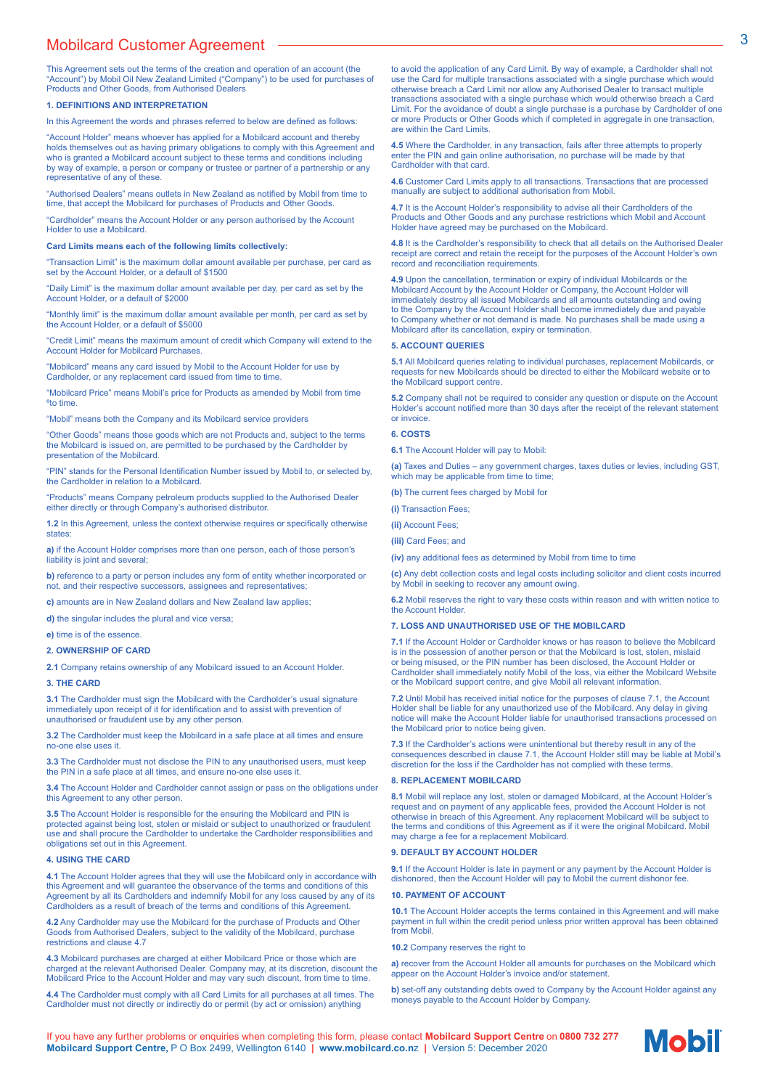# Mobilcard Customer Agreement **3** 3

This Agreement sets out the terms of the creation and operation of an account (the "Account") by Mobil Oil New Zealand Limited ("Company") to be used for purchases of Products and Other Goods, from Authorised Dealers

#### **1. DEFINITIONS AND INTERPRETATION**

In this Agreement the words and phrases referred to below are defined as follows:

"Account Holder" means whoever has applied for a Mobilcard account and thereby holds themselves out as having primary obligations to comply with this Agreement and who is granted a Mobilcard account subject to these terms and conditions including by way of example, a person or company or trustee or partner of a partnership or any representative of any of these.

"Authorised Dealers" means outlets in New Zealand as notified by Mobil from time to time, that accept the Mobilcard for purchases of Products and Other Goods.

"Cardholder" means the Account Holder or any person authorised by the Account Holder to use a Mobilcard.

**Card Limits means each of the following limits collectively:**

"Transaction Limit" is the maximum dollar amount available per purchase, per card as set by the Account Holder, or a default of \$1500

"Daily Limit" is the maximum dollar amount available per day, per card as set by the Account Holder, or a default of \$2000

"Monthly limit" is the maximum dollar amount available per month, per card as set by the Account Holder, or a default of \$5000

"Credit Limit" means the maximum amount of credit which Company will extend to the Account Holder for Mobilcard Purchases.

"Mobilcard" means any card issued by Mobil to the Account Holder for use by Cardholder, or any replacement card issued from time to time.

"Mobilcard Price" means Mobil's price for Products as amended by Mobil from time ºto time.

"Mobil" means both the Company and its Mobilcard service providers

"Other Goods" means those goods which are not Products and, subject to the terms the Mobilcard is issued on, are permitted to be purchased by the Cardholder by presentation of the Mobilcard.

"PIN" stands for the Personal Identification Number issued by Mobil to, or selected by, the Cardholder in relation to a Mobilcard.

"Products" means Company petroleum products supplied to the Authorised Dealer either directly or through Company's authorised distributor.

**1.2** In this Agreement, unless the context otherwise requires or specifically otherwise states

**a)** if the Account Holder comprises more than one person, each of those person's liability is joint and several;

**b)** reference to a party or person includes any form of entity whether incorporated or not, and their respective successors, assignees and representatives;

**c)** amounts are in New Zealand dollars and New Zealand law applies;

**d)** the singular includes the plural and vice versa;

#### **e)** time is of the essence.

#### **2. OWNERSHIP OF CARD**

**2.1** Company retains ownership of any Mobilcard issued to an Account Holder.

#### **3. THE CARD**

**3.1** The Cardholder must sign the Mobilcard with the Cardholder's usual signature immediately upon receipt of it for identification and to assist with prevention of unauthorised or fraudulent use by any other person.

**3.2** The Cardholder must keep the Mobilcard in a safe place at all times and ensure no-one else uses it.

**3.3** The Cardholder must not disclose the PIN to any unauthorised users, must keep the PIN in a safe place at all times, and ensure no-one else uses it.

**3.4** The Account Holder and Cardholder cannot assign or pass on the obligations under this Agreement to any other person.

**3.5** The Account Holder is responsible for the ensuring the Mobilcard and PIN is protected against being lost, stolen or mislaid or subject to unauthorized or fraudulent use and shall procure the Cardholder to undertake the Cardholder responsibilities and obligations set out in this Agreement.

#### **4. USING THE CARD**

**4.1** The Account Holder agrees that they will use the Mobilcard only in accordance with this Agreement and will guarantee the observance of the terms and conditions of this Agreement by all its Cardholders and indemnify Mobil for any loss caused by any of its Cardholders as a result of breach of the terms and conditions of this Agreement.

**4.2** Any Cardholder may use the Mobilcard for the purchase of Products and Other Goods from Authorised Dealers, subject to the validity of the Mobilcard, purchase restrictions and clause 4.7

**4.3** Mobilcard purchases are charged at either Mobilcard Price or those which are charged at the relevant Authorised Dealer. Company may, at its discretion, discount the Mobilcard Price to the Account Holder and may vary such discount, from time to time.

**4.4** The Cardholder must comply with all Card Limits for all purchases at all times. The Cardholder must not directly or indirectly do or permit (by act or omission) anything

to avoid the application of any Card Limit. By way of example, a Cardholder shall not use the Card for multiple transactions associated with a single purchase which would otherwise breach a Card Limit nor allow any Authorised Dealer to transact multiple transactions associated with a single purchase which would otherwise breach a Card Limit. For the avoidance of doubt a single purchase is a purchase by Cardholder of one or more Products or Other Goods which if completed in aggregate in one transaction, are within the Card Limits.

**4.5** Where the Cardholder, in any transaction, fails after three attempts to properly enter the PIN and gain online authorisation, no purchase will be made by that Cardholder with that card.

**4.6** Customer Card Limits apply to all transactions. Transactions that are processed manually are subject to additional authorisation from Mobil.

**4.7** It is the Account Holder's responsibility to advise all their Cardholders of the Products and Other Goods and any purchase restrictions which Mobil and Account Holder have agreed may be purchased on the Mobilcard.

**4.8** It is the Cardholder's responsibility to check that all details on the Authorised Dealer receipt are correct and retain the receipt for the purposes of the Account Holder's own record and reconciliation requirements.

**4.9** Upon the cancellation, termination or expiry of individual Mobilcards or the Mobilcard Account by the Account Holder or Company, the Account Holder will immediately destroy all issued Mobilcards and all amounts outstanding and owing to the Company by the Account Holder shall become immediately due and payable to Company whether or not demand is made. No purchases shall be made using a Mobilcard after its cancellation, expiry or termination.

#### **5. ACCOUNT QUERIES**

**5.1** All Mobilcard queries relating to individual purchases, replacement Mobilcards, or requests for new Mobilcards should be directed to either the Mobilcard website or to the Mobilcard support centre.

**5.2** Company shall not be required to consider any question or dispute on the Account Holder's account notified more than 30 days after the receipt of the relevant statement or invoice.

#### **6. COSTS**

**6.1** The Account Holder will pay to Mobil:

**(a)** Taxes and Duties – any government charges, taxes duties or levies, including GST, which may be applicable from time to time;

**(b)** The current fees charged by Mobil for

**(i)** Transaction Fees;

**(ii)** Account Fees;

**(iii)** Card Fees; and

**(iv)** any additional fees as determined by Mobil from time to time

**(c)** Any debt collection costs and legal costs including solicitor and client costs incurred by Mobil in seeking to recover any amount owing.

**6.2** Mobil reserves the right to vary these costs within reason and with written notice to the Account Holder.

#### **7. LOSS AND UNAUTHORISED USE OF THE MOBILCARD**

**7.1** If the Account Holder or Cardholder knows or has reason to believe the Mobilcard is in the possession of another person or that the Mobilcard is lost, stolen, mislaid or being misused, or the PIN number has been disclosed, the Account Holder or Cardholder shall immediately notify Mobil of the loss, via either the Mobilcard Website or the Mobilcard support centre, and give Mobil all relevant information.

**7.2** Until Mobil has received initial notice for the purposes of clause 7.1, the Account Holder shall be liable for any unauthorized use of the Mobilcard. Any delay in giving notice will make the Account Holder liable for unauthorised transactions processed on the Mobilcard prior to notice being given.

**7.3** If the Cardholder's actions were unintentional but thereby result in any of the consequences described in clause 7.1, the Account Holder still may be liable at Mobil's discretion for the loss if the Cardholder has not complied with these terms.

#### **8. REPLACEMENT MOBILCARD**

**8.1** Mobil will replace any lost, stolen or damaged Mobilcard, at the Account Holder's request and on payment of any applicable fees, provided the Account Holder is not otherwise in breach of this Agreement. Any replacement Mobilcard will be subject to the terms and conditions of this Agreement as if it were the original Mobilcard. Mobil may charge a fee for a replacement Mobilcard.

#### **9. DEFAULT BY ACCOUNT HOLDER**

**9.1** If the Account Holder is late in payment or any payment by the Account Holder is dishonored, then the Account Holder will pay to Mobil the current dishonor fee.

#### **10. PAYMENT OF ACCOUNT**

**10.1** The Account Holder accepts the terms contained in this Agreement and will make payment in full within the credit period unless prior written approval has been obtained from Mobil.

**10.2** Company reserves the right to

**a)** recover from the Account Holder all amounts for purchases on the Mobilcard which appear on the Account Holder's invoice and/or statement.

**b)** set-off any outstanding debts owed to Company by the Account Holder against any moneys payable to the Account Holder by Company.

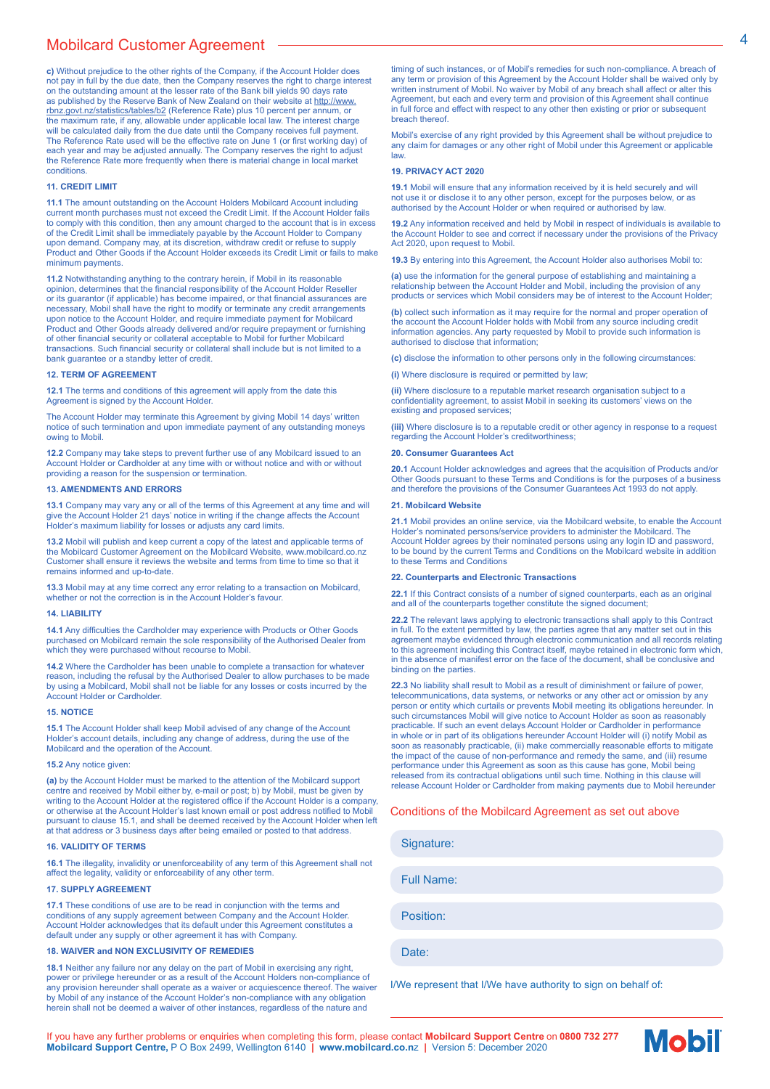# Mobilcard Customer Agreement 44

**c)** Without prejudice to the other rights of the Company, if the Account Holder does not pay in full by the due date, then the Company reserves the right to charge interest on the outstanding amount at the lesser rate of the Bank bill yields 90 days rate as published by the Reserve Bank of New Zealand on their website at http://www. <u>rbnz.govt.nz/statistics/tables/b2</u> (Reference Rate) plus 10 percent per annum, or<br>the maximum rate, if any, allowable under applicable local law. The interest charge will be calculated daily from the due date until the Company receives full payment. The Reference Rate used will be the effective rate on June 1 (or first working day) of each year and may be adjusted annually. The Company reserves the right to adjust the Reference Rate more frequently when there is material change in local market conditions.

#### **11. CREDIT LIMIT**

**11.1** The amount outstanding on the Account Holders Mobilcard Account including current month purchases must not exceed the Credit Limit. If the Account Holder fails to comply with this condition, then any amount charged to the account that is in excess of the Credit Limit shall be immediately payable by the Account Holder to Company upon demand. Company may, at its discretion, withdraw credit or refuse to supply Product and Other Goods if the Account Holder exceeds its Credit Limit or fails to make minimum payments.

**11.2** Notwithstanding anything to the contrary herein, if Mobil in its reasonable opinion, determines that the financial responsibility of the Account Holder Reseller or its quarantor (if applicable) has become impaired, or that financial assurances are necessary, Mobil shall have the right to modify or terminate any credit arrangements upon notice to the Account Holder, and require immediate payment for Mobilcard Product and Other Goods already delivered and/or require prepayment or furnishing of other financial security or collateral acceptable to Mobil for further Mobilcard transactions. Such financial security or collateral shall include but is not limited to a bank guarantee or a standby letter of credit.

#### **12. TERM OF AGREEMENT**

**12.1** The terms and conditions of this agreement will apply from the date this Agreement is signed by the Account Holder.

The Account Holder may terminate this Agreement by giving Mobil 14 days' written notice of such termination and upon immediate payment of any outstanding moneys owing to Mobil.

**12.2** Company may take steps to prevent further use of any Mobilcard issued to an Account Holder or Cardholder at any time with or without notice and with or without providing a reason for the suspension or termination.

#### **13. AMENDMENTS AND ERRORS**

**13.1** Company may vary any or all of the terms of this Agreement at any time and will give the Account Holder 21 days' notice in writing if the change affects the Account Holder's maximum liability for losses or adjusts any card limits.

**13.2** Mobil will publish and keep current a copy of the latest and applicable terms of the Mobilcard Customer Agreement on the Mobilcard Website, www.mobilcard.co.nz Customer shall ensure it reviews the website and terms from time to time so that it remains informed and up-to-date.

**13.3** Mobil may at any time correct any error relating to a transaction on Mobilcard, whether or not the correction is in the Account Holder's favour.

#### **14. LIABILITY**

14.1 Any difficulties the Cardholder may experience with Products or Other Goods purchased on Mobilcard remain the sole responsibility of the Authorised Dealer from which they were purchased without recourse to Mobil.

**14.2** Where the Cardholder has been unable to complete a transaction for whatever reason, including the refusal by the Authorised Dealer to allow purchases to be made by using a Mobilcard, Mobil shall not be liable for any losses or costs incurred by the Account Holder or Cardholder.

#### **15. NOTICE**

**15.1** The Account Holder shall keep Mobil advised of any change of the Account Holder's account details, including any change of address, during the use of the Mobilcard and the operation of the Account.

#### **15.2** Any notice given:

**(a)** by the Account Holder must be marked to the attention of the Mobilcard support centre and received by Mobil either by, e-mail or post; b) by Mobil, must be given by writing to the Account Holder at the registered office if the Account Holder is a company,<br>or otherwise at the Account Holder's last known email or post address notified to Mobil pursuant to clause 15.1, and shall be deemed received by the Account Holder when left at that address or 3 business days after being emailed or posted to that address.

#### **16. VALIDITY OF TERMS**

**16.1** The illegality, invalidity or unenforceability of any term of this Agreement shall not affect the legality, validity or enforceability of any other term.

#### **17. SUPPLY AGREEMENT**

**17.1** These conditions of use are to be read in conjunction with the terms and conditions of any supply agreement between Company and the Account Holder. Account Holder acknowledges that its default under this Agreement constitutes a default under any supply or other agreement it has with Company.

#### **18. WAIVER and NON EXCLUSIVITY OF REMEDIES**

**18.1** Neither any failure nor any delay on the part of Mobil in exercising any right, power or privilege hereunder or as a result of the Account Holders non-compliance of any provision hereunder shall operate as a waiver or acquiescence thereof. The waiver by Mobil of any instance of the Account Holder's non-compliance with any obligation herein shall not be deemed a waiver of other instances, regardless of the nature and

timing of such instances, or of Mobil's remedies for such non-compliance. A breach of any term or provision of this Agreement by the Account Holder shall be waived only by written instrument of Mobil. No waiver by Mobil of any breach shall affect or alter this Agreement, but each and every term and provision of this Agreement shall continue in full force and effect with respect to any other then existing or prior or subsequent breach thereof.

Mobil's exercise of any right provided by this Agreement shall be without prejudice to any claim for damages or any other right of Mobil under this Agreement or applicable law.

#### **19. PRIVACY ACT 2020**

**19.1** Mobil will ensure that any information received by it is held securely and will not use it or disclose it to any other person, except for the purposes below, or as authorised by the Account Holder or when required or authorised by law.

**19.2** Any information received and held by Mobil in respect of individuals is available to the Account Holder to see and correct if necessary under the provisions of the Privacy Act 2020, upon request to Mobil.

**19.3** By entering into this Agreement, the Account Holder also authorises Mobil to:

**(a)** use the information for the general purpose of establishing and maintaining a relationship between the Account Holder and Mobil, including the provision of any products or services which Mobil considers may be of interest to the Account Holder;

**(b)** collect such information as it may require for the normal and proper operation of the account the Account Holder holds with Mobil from any source including credit information agencies. Any party requested by Mobil to provide such information is authorised to disclose that information;

**(c)** disclose the information to other persons only in the following circumstances: **(i)** Where disclosure is required or permitted by law;

**(ii)** Where disclosure to a reputable market research organisation subject to a confidentiality agreement, to assist Mobil in seeking its customers' views on the existing and proposed services;

**(iii)** Where disclosure is to a reputable credit or other agency in response to a request regarding the Account Holder's creditworthiness;

#### **20. Consumer Guarantees Act**

**20.1** Account Holder acknowledges and agrees that the acquisition of Products and/or Other Goods pursuant to these Terms and Conditions is for the purposes of a business and therefore the provisions of the Consumer Guarantees Act 1993 do not apply.

#### **21. Mobilcard Website**

**21.1** Mobil provides an online service, via the Mobilcard website, to enable the Account Holder's nominated persons/service providers to administer the Mobilcard. The Account Holder agrees by their nominated persons using any login ID and password, to be bound by the current Terms and Conditions on the Mobilcard website in addition to these Terms and Conditions

#### **22. Counterparts and Electronic Transactions**

**22.1** If this Contract consists of a number of signed counterparts, each as an original and all of the counterparts together constitute the signed document;

**22.2** The relevant laws applying to electronic transactions shall apply to this Contract in full. To the extent permitted by law, the parties agree that any matter set out in this agreement maybe evidenced through electronic communication and all records relating to this agreement including this Contract itself, maybe retained in electronic form which, in the absence of manifest error on the face of the document, shall be conclusive and binding on the parties.

**22.3** No liability shall result to Mobil as a result of diminishment or failure of power, telecommunications, data systems, or networks or any other act or omission by any person or entity which curtails or prevents Mobil meeting its obligations hereunder. In such circumstances Mobil will give notice to Account Holder as soon as reasonably practicable. If such an event delays Account Holder or Cardholder in performance in whole or in part of its obligations hereunder Account Holder will (i) notify Mobil as soon as reasonably practicable, (ii) make commercially reasonable efforts to mitigate the impact of the cause of non-performance and remedy the same, and (iii) resume performance under this Agreement as soon as this cause has gone, Mobil being released from its contractual obligations until such time. Nothing in this clause will release Account Holder or Cardholder from making payments due to Mobil hereunder

#### Conditions of the Mobilcard Agreement as set out above

Signature:

Full Name:

Position:

Date:

I/We represent that I/We have authority to sign on behalf of:

If you have any further problems or enquiries when completing this form, please contact **Mobilcard Support Centre** on **0800 732 277 Mobilcard Support Centre,** P O Box 2499, Wellington 6140 **| www.mobilcard.co.n**z **|** Version 5: December 2020

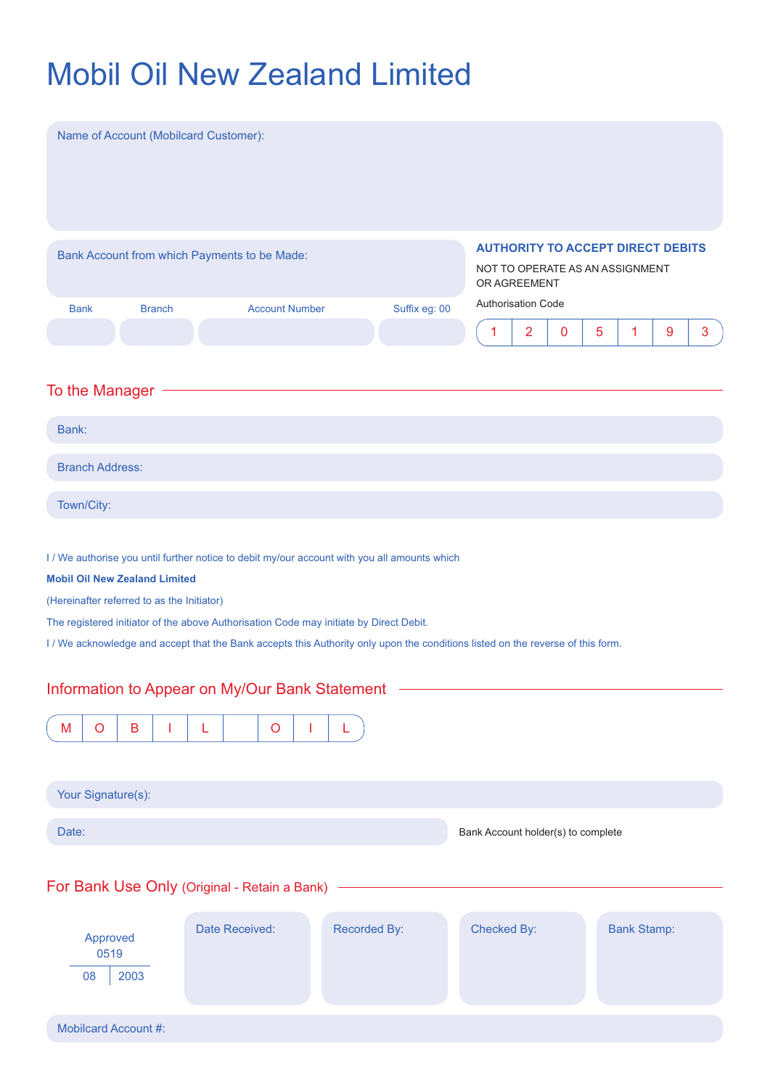# Mobil Oil New Zealand Limited

| Name of Account (Mobilcard Customer):                                                                                                                                                                                                                                                                                                                             |                                                                                             |
|-------------------------------------------------------------------------------------------------------------------------------------------------------------------------------------------------------------------------------------------------------------------------------------------------------------------------------------------------------------------|---------------------------------------------------------------------------------------------|
| Bank Account from which Payments to be Made:                                                                                                                                                                                                                                                                                                                      | <b>AUTHORITY TO ACCEPT DIRECT DEBITS</b><br>NOT TO OPERATE AS AN ASSIGNMENT<br>OR AGREEMENT |
| <b>Account Number</b><br>Suffix eg: 00<br><b>Bank</b><br><b>Branch</b>                                                                                                                                                                                                                                                                                            | <b>Authorisation Code</b>                                                                   |
|                                                                                                                                                                                                                                                                                                                                                                   | $\overline{2}$<br>$\boldsymbol{9}$<br>$\mathbf{3}$<br>1<br>0<br>5<br>1                      |
| To the Manager                                                                                                                                                                                                                                                                                                                                                    |                                                                                             |
| Bank:                                                                                                                                                                                                                                                                                                                                                             |                                                                                             |
| <b>Branch Address:</b>                                                                                                                                                                                                                                                                                                                                            |                                                                                             |
| Town/City:                                                                                                                                                                                                                                                                                                                                                        |                                                                                             |
| <b>Mobil Oil New Zealand Limited</b><br>(Hereinafter referred to as the Initiator)<br>The registered initiator of the above Authorisation Code may initiate by Direct Debit.<br>I / We acknowledge and accept that the Bank accepts this Authority only upon the conditions listed on the reverse of this form.<br>Information to Appear on My/Our Bank Statement |                                                                                             |
|                                                                                                                                                                                                                                                                                                                                                                   |                                                                                             |
| $\sf B$<br>M<br>$\circ$<br>$\circ$<br>L<br>L                                                                                                                                                                                                                                                                                                                      |                                                                                             |
| Your Signature(s):                                                                                                                                                                                                                                                                                                                                                |                                                                                             |
| Date:                                                                                                                                                                                                                                                                                                                                                             | Bank Account holder(s) to complete                                                          |
| For Bank Use Only (Original - Retain a Bank) -                                                                                                                                                                                                                                                                                                                    |                                                                                             |
| Recorded By:<br>Date Received:<br>Approved<br>0519<br>2003<br>08                                                                                                                                                                                                                                                                                                  | Checked By:<br><b>Bank Stamp:</b>                                                           |
| <b>Mobilcard Account #:</b>                                                                                                                                                                                                                                                                                                                                       |                                                                                             |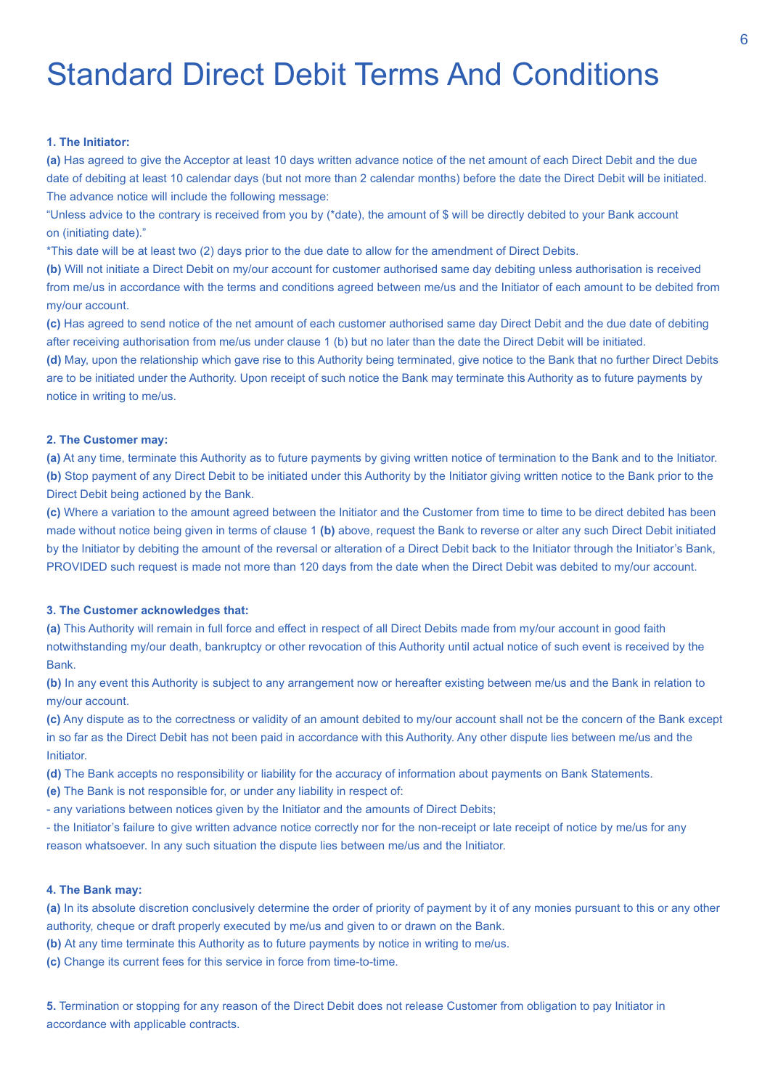# Standard Direct Debit Terms And Conditions

### **1. The Initiator:**

**(a)** Has agreed to give the Acceptor at least 10 days written advance notice of the net amount of each Direct Debit and the due date of debiting at least 10 calendar days (but not more than 2 calendar months) before the date the Direct Debit will be initiated. The advance notice will include the following message:

"Unless advice to the contrary is received from you by (\*date), the amount of \$ will be directly debited to your Bank account on (initiating date)."

\*This date will be at least two (2) days prior to the due date to allow for the amendment of Direct Debits.

**(b)** Will not initiate a Direct Debit on my/our account for customer authorised same day debiting unless authorisation is received from me/us in accordance with the terms and conditions agreed between me/us and the Initiator of each amount to be debited from my/our account.

**(c)** Has agreed to send notice of the net amount of each customer authorised same day Direct Debit and the due date of debiting after receiving authorisation from me/us under clause 1 (b) but no later than the date the Direct Debit will be initiated.

**(d)** May, upon the relationship which gave rise to this Authority being terminated, give notice to the Bank that no further Direct Debits are to be initiated under the Authority. Upon receipt of such notice the Bank may terminate this Authority as to future payments by notice in writing to me/us.

#### **2. The Customer may:**

**(a)** At any time, terminate this Authority as to future payments by giving written notice of termination to the Bank and to the Initiator. **(b)** Stop payment of any Direct Debit to be initiated under this Authority by the Initiator giving written notice to the Bank prior to the Direct Debit being actioned by the Bank.

**(c)** Where a variation to the amount agreed between the Initiator and the Customer from time to time to be direct debited has been made without notice being given in terms of clause 1 **(b)** above, request the Bank to reverse or alter any such Direct Debit initiated by the Initiator by debiting the amount of the reversal or alteration of a Direct Debit back to the Initiator through the Initiator's Bank, PROVIDED such request is made not more than 120 days from the date when the Direct Debit was debited to my/our account.

### **3. The Customer acknowledges that:**

**(a)** This Authority will remain in full force and effect in respect of all Direct Debits made from my/our account in good faith notwithstanding my/our death, bankruptcy or other revocation of this Authority until actual notice of such event is received by the Bank.

**(b)** In any event this Authority is subject to any arrangement now or hereafter existing between me/us and the Bank in relation to my/our account.

**(c)** Any dispute as to the correctness or validity of an amount debited to my/our account shall not be the concern of the Bank except in so far as the Direct Debit has not been paid in accordance with this Authority. Any other dispute lies between me/us and the Initiator.

**(d)** The Bank accepts no responsibility or liability for the accuracy of information about payments on Bank Statements.

**(e)** The Bank is not responsible for, or under any liability in respect of:

- any variations between notices given by the Initiator and the amounts of Direct Debits;

- the Initiator's failure to give written advance notice correctly nor for the non-receipt or late receipt of notice by me/us for any reason whatsoever. In any such situation the dispute lies between me/us and the Initiator.

### **4. The Bank may:**

**(a)** In its absolute discretion conclusively determine the order of priority of payment by it of any monies pursuant to this or any other authority, cheque or draft properly executed by me/us and given to or drawn on the Bank.

**(b)** At any time terminate this Authority as to future payments by notice in writing to me/us.

**(c)** Change its current fees for this service in force from time-to-time.

**5.** Termination or stopping for any reason of the Direct Debit does not release Customer from obligation to pay Initiator in accordance with applicable contracts.